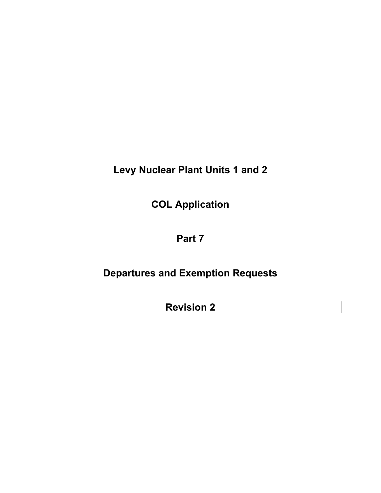**Levy Nuclear Plant Units 1 and 2** 

**COL Application** 

# **Part 7**

# **Departures and Exemption Requests**

**Revision 2**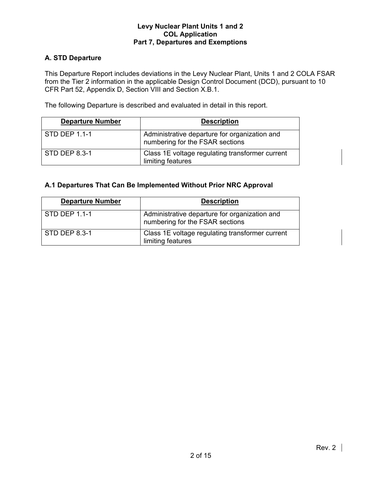# **A. STD Departure**

This Departure Report includes deviations in the Levy Nuclear Plant, Units 1 and 2 COLA FSAR from the Tier 2 information in the applicable Design Control Document (DCD), pursuant to 10 CFR Part 52, Appendix D, Section VIII and Section X.B.1.

The following Departure is described and evaluated in detail in this report.

| <b>Departure Number</b> | <b>Description</b>                                                               |
|-------------------------|----------------------------------------------------------------------------------|
| $STD$ DEP 1.1-1         | Administrative departure for organization and<br>numbering for the FSAR sections |
| STD DEP 8.3-1           | Class 1E voltage regulating transformer current<br>limiting features             |

# **A.1 Departures That Can Be Implemented Without Prior NRC Approval**

| <b>Departure Number</b> | <b>Description</b>                                                               |
|-------------------------|----------------------------------------------------------------------------------|
| STD DEP 1.1-1           | Administrative departure for organization and<br>numbering for the FSAR sections |
| <b>STD DEP 8.3-1</b>    | Class 1E voltage regulating transformer current<br>limiting features             |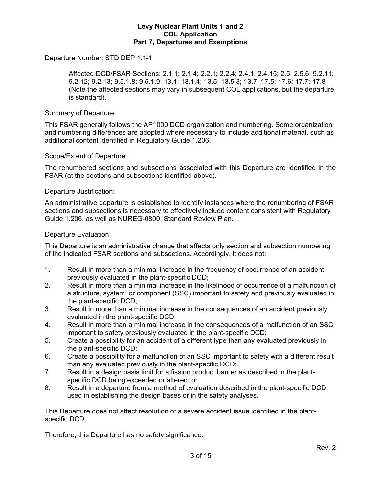### Departure Number: STD DEP 1.1-1

 Affected DCD/FSAR Sections: 2.1.1; 2.1.4; 2.2.1; 2.2.4; 2.4.1; 2.4.15; 2.5; 2.5.6; 9.2.11; 9.2.12; 9.2.13; 9.5.1.8; 9.5.1.9; 13.1; 13.1.4; 13.5; 13.5.3; 13.7; 17.5; 17.6; 17.7; 17.8 (Note the affected sections may vary in subsequent COL applications, but the departure is standard).

### Summary of Departure:

This FSAR generally follows the AP1000 DCD organization and numbering. Some organization and numbering differences are adopted where necessary to include additional material, such as additional content identified in Regulatory Guide 1.206.

### Scope/Extent of Departure:

The renumbered sections and subsections associated with this Departure are identified in the FSAR (at the sections and subsections identified above).

### Departure Justification:

An administrative departure is established to identify instances where the renumbering of FSAR sections and subsections is necessary to effectively include content consistent with Regulatory Guide 1.206, as well as NUREG-0800, Standard Review Plan.

### Departure Evaluation:

This Departure is an administrative change that affects only section and subsection numbering of the indicated FSAR sections and subsections. Accordingly, it does not:

- 1. Result in more than a minimal increase in the frequency of occurrence of an accident previously evaluated in the plant-specific DCD;
- 2. Result in more than a minimal increase in the likelihood of occurrence of a malfunction of a structure, system, or component (SSC) important to safety and previously evaluated in the plant-specific DCD;
- 3. Result in more than a minimal increase in the consequences of an accident previously evaluated in the plant-specific DCD;
- 4. Result in more than a minimal increase in the consequences of a malfunction of an SSC important to safety previously evaluated in the plant-specific DCD;
- 5. Create a possibility for an accident of a different type than any evaluated previously in the plant-specific DCD;
- 6. Create a possibility for a malfunction of an SSC important to safety with a different result than any evaluated previously in the plant-specific DCD;
- 7. Result in a design basis limit for a fission product barrier as described in the plantspecific DCD being exceeded or altered; or
- 8. Result in a departure from a method of evaluation described in the plant-specific DCD used in establishing the design bases or in the safety analyses.

This Departure does not affect resolution of a severe accident issue identified in the plantspecific DCD.

Therefore, this Departure has no safety significance.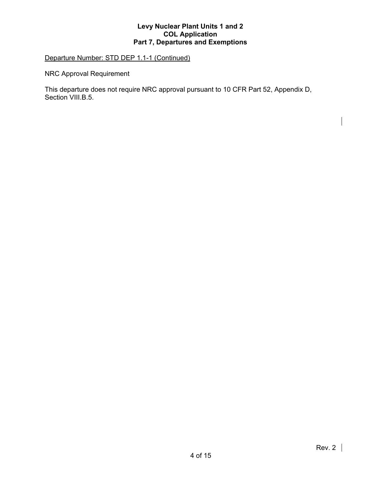# Departure Number: STD DEP 1.1-1 (Continued)

NRC Approval Requirement

This departure does not require NRC approval pursuant to 10 CFR Part 52, Appendix D, Section VIII.B.5.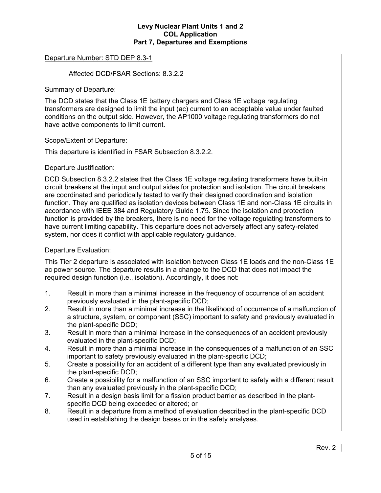## Departure Number: STD DEP 8.3-1

### Affected DCD/FSAR Sections: 8.3.2.2

Summary of Departure:

The DCD states that the Class 1E battery chargers and Class 1E voltage regulating transformers are designed to limit the input (ac) current to an acceptable value under faulted conditions on the output side. However, the AP1000 voltage regulating transformers do not have active components to limit current.

### Scope/Extent of Departure:

This departure is identified in FSAR Subsection 8.3.2.2.

### Departure Justification:

DCD Subsection 8.3.2.2 states that the Class 1E voltage regulating transformers have built-in circuit breakers at the input and output sides for protection and isolation. The circuit breakers are coordinated and periodically tested to verify their designed coordination and isolation function. They are qualified as isolation devices between Class 1E and non-Class 1E circuits in accordance with IEEE 384 and Regulatory Guide 1.75. Since the isolation and protection function is provided by the breakers, there is no need for the voltage regulating transformers to have current limiting capability. This departure does not adversely affect any safety-related system, nor does it conflict with applicable regulatory guidance.

### Departure Evaluation:

This Tier 2 departure is associated with isolation between Class 1E loads and the non-Class 1E ac power source. The departure results in a change to the DCD that does not impact the required design function (i.e., isolation). Accordingly, it does not:

- 1. Result in more than a minimal increase in the frequency of occurrence of an accident previously evaluated in the plant-specific DCD;
- 2. Result in more than a minimal increase in the likelihood of occurrence of a malfunction of a structure, system, or component (SSC) important to safety and previously evaluated in the plant-specific DCD;
- 3. Result in more than a minimal increase in the consequences of an accident previously evaluated in the plant-specific DCD;
- 4. Result in more than a minimal increase in the consequences of a malfunction of an SSC important to safety previously evaluated in the plant-specific DCD;
- 5. Create a possibility for an accident of a different type than any evaluated previously in the plant-specific DCD;
- 6. Create a possibility for a malfunction of an SSC important to safety with a different result than any evaluated previously in the plant-specific DCD;
- 7. Result in a design basis limit for a fission product barrier as described in the plantspecific DCD being exceeded or altered; or
- 8. Result in a departure from a method of evaluation described in the plant-specific DCD used in establishing the design bases or in the safety analyses.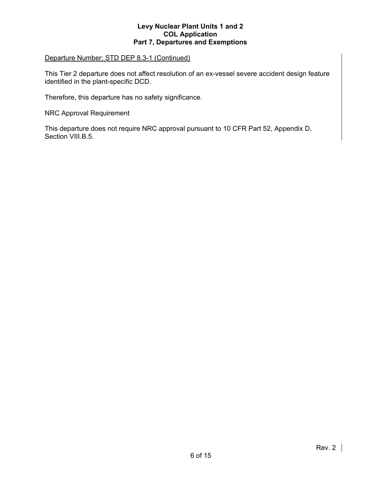### Departure Number: STD DEP 8.3-1 (Continued)

This Tier 2 departure does not affect resolution of an ex-vessel severe accident design feature identified in the plant-specific DCD.

Therefore, this departure has no safety significance.

NRC Approval Requirement

This departure does not require NRC approval pursuant to 10 CFR Part 52, Appendix D, Section VIII.B.5.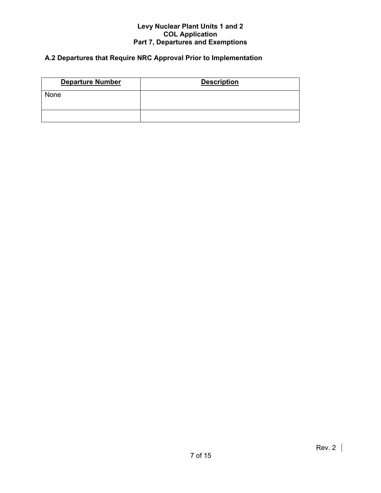# **A.2 Departures that Require NRC Approval Prior to Implementation**

| <b>Departure Number</b> | <b>Description</b> |
|-------------------------|--------------------|
| None                    |                    |
|                         |                    |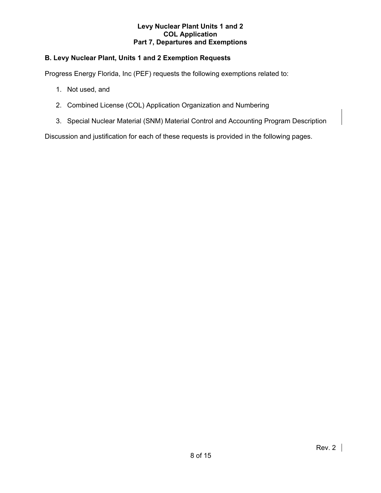# **B. Levy Nuclear Plant, Units 1 and 2 Exemption Requests**

Progress Energy Florida, Inc (PEF) requests the following exemptions related to:

- 1. Not used, and
- 2. Combined License (COL) Application Organization and Numbering
- 3. Special Nuclear Material (SNM) Material Control and Accounting Program Description

Discussion and justification for each of these requests is provided in the following pages.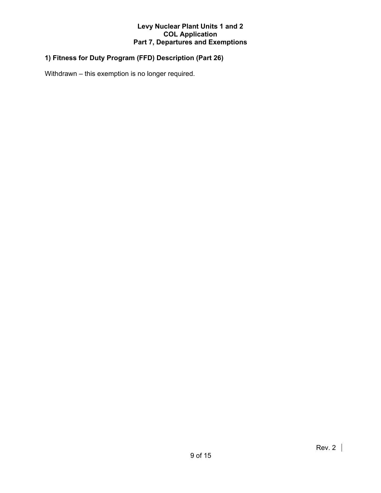# **1) Fitness for Duty Program (FFD) Description (Part 26)**

Withdrawn – this exemption is no longer required.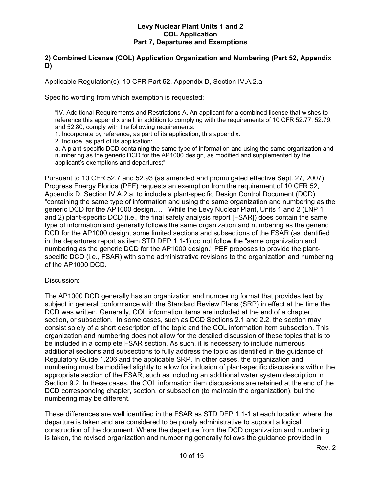# **2) Combined License (COL) Application Organization and Numbering (Part 52, Appendix D)**

Applicable Regulation(s): 10 CFR Part 52, Appendix D, Section IV.A.2.a

Specific wording from which exemption is requested:

"IV. Additional Requirements and Restrictions A. An applicant for a combined license that wishes to reference this appendix shall, in addition to complying with the requirements of 10 CFR 52.77, 52.79, and 52.80, comply with the following requirements:

1. Incorporate by reference, as part of its application, this appendix.

2. Include, as part of its application:

a. A plant-specific DCD containing the same type of information and using the same organization and numbering as the generic DCD for the AP1000 design, as modified and supplemented by the applicant's exemptions and departures;"

Pursuant to 10 CFR 52.7 and 52.93 (as amended and promulgated effective Sept. 27, 2007), Progress Energy Florida (PEF) requests an exemption from the requirement of 10 CFR 52, Appendix D, Section IV.A.2.a, to include a plant-specific Design Control Document (DCD) "containing the same type of information and using the same organization and numbering as the generic DCD for the AP1000 design…." While the Levy Nuclear Plant, Units 1 and 2 (LNP 1 and 2) plant-specific DCD (i.e., the final safety analysis report [FSAR]) does contain the same type of information and generally follows the same organization and numbering as the generic DCD for the AP1000 design, some limited sections and subsections of the FSAR (as identified in the departures report as item STD DEP 1.1-1) do not follow the "same organization and numbering as the generic DCD for the AP1000 design." PEF proposes to provide the plantspecific DCD (i.e., FSAR) with some administrative revisions to the organization and numbering of the AP1000 DCD.

### Discussion:

The AP1000 DCD generally has an organization and numbering format that provides text by subject in general conformance with the Standard Review Plans (SRP) in effect at the time the DCD was written. Generally, COL information items are included at the end of a chapter, section, or subsection. In some cases, such as DCD Sections 2.1 and 2.2, the section may consist solely of a short description of the topic and the COL information item subsection. This organization and numbering does not allow for the detailed discussion of these topics that is to be included in a complete FSAR section. As such, it is necessary to include numerous additional sections and subsections to fully address the topic as identified in the guidance of Regulatory Guide 1.206 and the applicable SRP. In other cases, the organization and numbering must be modified slightly to allow for inclusion of plant-specific discussions within the appropriate section of the FSAR, such as including an additional water system description in Section 9.2. In these cases, the COL information item discussions are retained at the end of the DCD corresponding chapter, section, or subsection (to maintain the organization), but the numbering may be different.

These differences are well identified in the FSAR as STD DEP 1.1-1 at each location where the departure is taken and are considered to be purely administrative to support a logical construction of the document. Where the departure from the DCD organization and numbering is taken, the revised organization and numbering generally follows the guidance provided in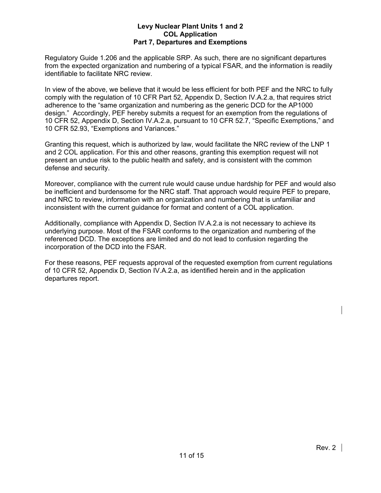Regulatory Guide 1.206 and the applicable SRP. As such, there are no significant departures from the expected organization and numbering of a typical FSAR, and the information is readily identifiable to facilitate NRC review.

In view of the above, we believe that it would be less efficient for both PEF and the NRC to fully comply with the regulation of 10 CFR Part 52, Appendix D, Section IV.A.2.a, that requires strict adherence to the "same organization and numbering as the generic DCD for the AP1000 design." Accordingly, PEF hereby submits a request for an exemption from the regulations of 10 CFR 52, Appendix D, Section IV.A.2.a, pursuant to 10 CFR 52.7, "Specific Exemptions," and 10 CFR 52.93, "Exemptions and Variances."

Granting this request, which is authorized by law, would facilitate the NRC review of the LNP 1 and 2 COL application. For this and other reasons, granting this exemption request will not present an undue risk to the public health and safety, and is consistent with the common defense and security.

Moreover, compliance with the current rule would cause undue hardship for PEF and would also be inefficient and burdensome for the NRC staff. That approach would require PEF to prepare, and NRC to review, information with an organization and numbering that is unfamiliar and inconsistent with the current guidance for format and content of a COL application.

Additionally, compliance with Appendix D, Section IV.A.2.a is not necessary to achieve its underlying purpose. Most of the FSAR conforms to the organization and numbering of the referenced DCD. The exceptions are limited and do not lead to confusion regarding the incorporation of the DCD into the FSAR.

For these reasons, PEF requests approval of the requested exemption from current regulations of 10 CFR 52, Appendix D, Section IV.A.2.a, as identified herein and in the application departures report.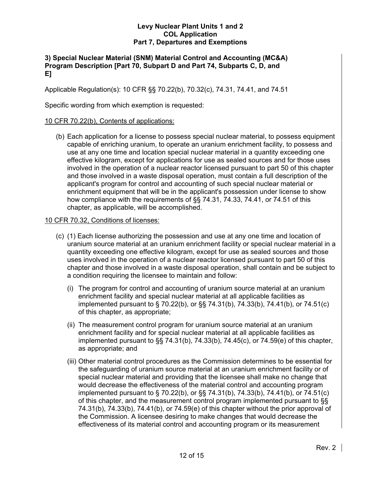# **3) Special Nuclear Material (SNM) Material Control and Accounting (MC&A) Program Description [Part 70, Subpart D and Part 74, Subparts C, D, and E]**

Applicable Regulation(s): 10 CFR §§ 70.22(b), 70.32(c), 74.31, 74.41, and 74.51

Specific wording from which exemption is requested:

# 10 CFR 70.22(b), Contents of applications:

 (b) Each application for a license to possess special nuclear material, to possess equipment capable of enriching uranium, to operate an uranium enrichment facility, to possess and use at any one time and location special nuclear material in a quantity exceeding one effective kilogram, except for applications for use as sealed sources and for those uses involved in the operation of a nuclear reactor licensed pursuant to part 50 of this chapter and those involved in a waste disposal operation, must contain a full description of the applicant's program for control and accounting of such special nuclear material or enrichment equipment that will be in the applicant's possession under license to show how compliance with the requirements of §§ 74.31, 74.33, 74.41, or 74.51 of this chapter, as applicable, will be accomplished.

# 10 CFR 70.32, Conditions of licenses:

- (c) (1) Each license authorizing the possession and use at any one time and location of uranium source material at an uranium enrichment facility or special nuclear material in a quantity exceeding one effective kilogram, except for use as sealed sources and those uses involved in the operation of a nuclear reactor licensed pursuant to part 50 of this chapter and those involved in a waste disposal operation, shall contain and be subject to a condition requiring the licensee to maintain and follow:
	- (i) The program for control and accounting of uranium source material at an uranium enrichment facility and special nuclear material at all applicable facilities as implemented pursuant to § 70.22(b), or §§ 74.31(b), 74.33(b), 74.41(b), or 74.51(c) of this chapter, as appropriate;
	- (ii) The measurement control program for uranium source material at an uranium enrichment facility and for special nuclear material at all applicable facilities as implemented pursuant to §§ 74.31(b), 74.33(b), 74.45(c), or 74.59(e) of this chapter, as appropriate; and
	- (iii) Other material control procedures as the Commission determines to be essential for the safeguarding of uranium source material at an uranium enrichment facility or of special nuclear material and providing that the licensee shall make no change that would decrease the effectiveness of the material control and accounting program implemented pursuant to § 70.22(b), or §§ 74.31(b), 74.33(b), 74.41(b), or 74.51(c) of this chapter, and the measurement control program implemented pursuant to §§ 74.31(b), 74.33(b), 74.41(b), or 74.59(e) of this chapter without the prior approval of the Commission. A licensee desiring to make changes that would decrease the effectiveness of its material control and accounting program or its measurement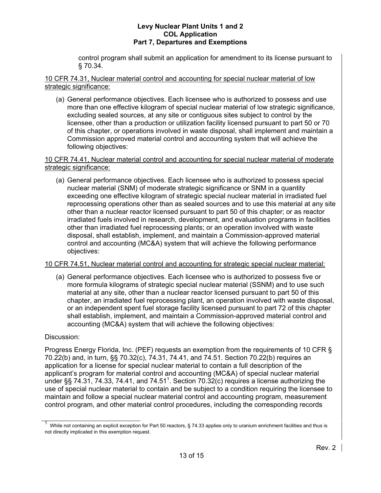control program shall submit an application for amendment to its license pursuant to § 70.34.

10 CFR 74.31, Nuclear material control and accounting for special nuclear material of low strategic significance:

 (a) General performance objectives. Each licensee who is authorized to possess and use more than one effective kilogram of special nuclear material of low strategic significance, excluding sealed sources, at any site or contiguous sites subject to control by the licensee, other than a production or utilization facility licensed pursuant to part 50 or 70 of this chapter, or operations involved in waste disposal, shall implement and maintain a Commission approved material control and accounting system that will achieve the following objectives:

10 CFR 74.41, Nuclear material control and accounting for special nuclear material of moderate strategic significance:

 (a) General performance objectives. Each licensee who is authorized to possess special nuclear material (SNM) of moderate strategic significance or SNM in a quantity exceeding one effective kilogram of strategic special nuclear material in irradiated fuel reprocessing operations other than as sealed sources and to use this material at any site other than a nuclear reactor licensed pursuant to part 50 of this chapter; or as reactor irradiated fuels involved in research, development, and evaluation programs in facilities other than irradiated fuel reprocessing plants; or an operation involved with waste disposal, shall establish, implement, and maintain a Commission-approved material control and accounting (MC&A) system that will achieve the following performance objectives:

# 10 CFR 74.51, Nuclear material control and accounting for strategic special nuclear material:

 (a) General performance objectives. Each licensee who is authorized to possess five or more formula kilograms of strategic special nuclear material (SSNM) and to use such material at any site, other than a nuclear reactor licensed pursuant to part 50 of this chapter, an irradiated fuel reprocessing plant, an operation involved with waste disposal, or an independent spent fuel storage facility licensed pursuant to part 72 of this chapter shall establish, implement, and maintain a Commission-approved material control and accounting (MC&A) system that will achieve the following objectives:

# Discussion:

Progress Energy Florida, Inc. (PEF) requests an exemption from the requirements of 10 CFR § 70.22(b) and, in turn, §§ 70.32(c), 74.31, 74.41, and 74.51. Section 70.22(b) requires an application for a license for special nuclear material to contain a full description of the applicant's program for material control and accounting (MC&A) of special nuclear material under §§ 74.31, 74.33, 74.41, and 74.51<sup>1</sup>. Section 70.32(c) requires a license authorizing the use of special nuclear material to contain and be subject to a condition requiring the licensee to maintain and follow a special nuclear material control and accounting program, measurement control program, and other material control procedures, including the corresponding records

<sup>1</sup> While not containing an explicit exception for Part 50 reactors, § 74.33 applies only to uranium enrichment facilities and thus is not directly implicated in this exemption request.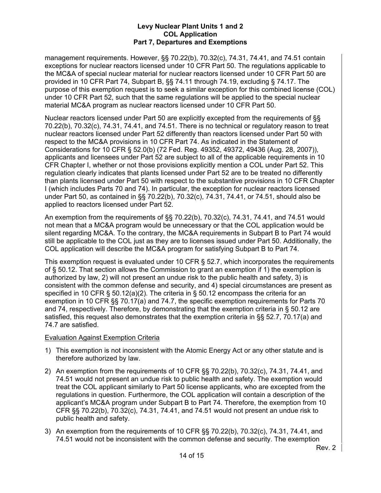management requirements. However, §§ 70.22(b), 70.32(c), 74.31, 74.41, and 74.51 contain exceptions for nuclear reactors licensed under 10 CFR Part 50. The regulations applicable to the MC&A of special nuclear material for nuclear reactors licensed under 10 CFR Part 50 are provided in 10 CFR Part 74, Subpart B, §§ 74.11 through 74.19, excluding § 74.17. The purpose of this exemption request is to seek a similar exception for this combined license (COL) under 10 CFR Part 52, such that the same regulations will be applied to the special nuclear material MC&A program as nuclear reactors licensed under 10 CFR Part 50.

Nuclear reactors licensed under Part 50 are explicitly excepted from the requirements of §§ 70.22(b), 70.32(c), 74.31, 74.41, and 74.51. There is no technical or regulatory reason to treat nuclear reactors licensed under Part 52 differently than reactors licensed under Part 50 with respect to the MC&A provisions in 10 CFR Part 74. As indicated in the Statement of Considerations for 10 CFR § 52.0(b) (72 Fed. Reg. 49352, 49372, 49436 (Aug. 28, 2007)), applicants and licensees under Part 52 are subject to all of the applicable requirements in 10 CFR Chapter I, whether or not those provisions explicitly mention a COL under Part 52. This regulation clearly indicates that plants licensed under Part 52 are to be treated no differently than plants licensed under Part 50 with respect to the substantive provisions in 10 CFR Chapter I (which includes Parts 70 and 74). In particular, the exception for nuclear reactors licensed under Part 50, as contained in §§ 70.22(b), 70.32(c), 74.31, 74.41, or 74.51, should also be applied to reactors licensed under Part 52.

An exemption from the requirements of §§ 70.22(b), 70.32(c), 74.31, 74.41, and 74.51 would not mean that a MC&A program would be unnecessary or that the COL application would be silent regarding MC&A. To the contrary, the MC&A requirements in Subpart B to Part 74 would still be applicable to the COL just as they are to licenses issued under Part 50. Additionally, the COL application will describe the MC&A program for satisfying Subpart B to Part 74.

This exemption request is evaluated under 10 CFR § 52.7, which incorporates the requirements of § 50.12. That section allows the Commission to grant an exemption if 1) the exemption is authorized by law, 2) will not present an undue risk to the public health and safety, 3) is consistent with the common defense and security, and 4) special circumstances are present as specified in 10 CFR § 50.12(a)(2). The criteria in § 50.12 encompass the criteria for an exemption in 10 CFR §§ 70.17(a) and 74.7, the specific exemption requirements for Parts 70 and 74, respectively. Therefore, by demonstrating that the exemption criteria in § 50.12 are satisfied, this request also demonstrates that the exemption criteria in §§ 52.7, 70.17(a) and 74.7 are satisfied.

# Evaluation Against Exemption Criteria

- 1) This exemption is not inconsistent with the Atomic Energy Act or any other statute and is therefore authorized by law.
- 2) An exemption from the requirements of 10 CFR §§ 70.22(b), 70.32(c), 74.31, 74.41, and 74.51 would not present an undue risk to public health and safety. The exemption would treat the COL applicant similarly to Part 50 license applicants, who are excepted from the regulations in question. Furthermore, the COL application will contain a description of the applicant's MC&A program under Subpart B to Part 74. Therefore, the exemption from 10 CFR §§ 70.22(b), 70.32(c), 74.31, 74.41, and 74.51 would not present an undue risk to public health and safety.
- 3) An exemption from the requirements of 10 CFR §§ 70.22(b), 70.32(c), 74.31, 74.41, and 74.51 would not be inconsistent with the common defense and security. The exemption